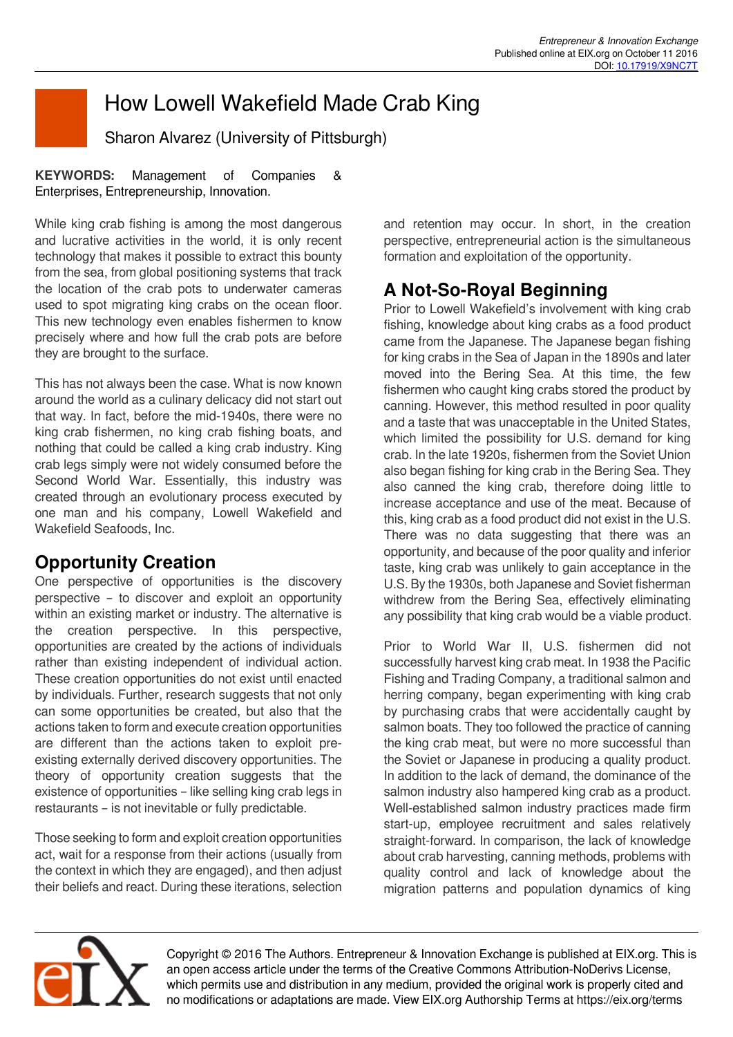# How Lowell Wakefield Made Crab King

Sharon Alvarez (University of Pittsburgh)

**KEYWORDS:** Management of Companies & Enterprises, Entrepreneurship, Innovation.

While king crab fishing is among the most dangerous and lucrative activities in the world, it is only recent technology that makes it possible to extract this bounty from the sea, from global positioning systems that track the location of the crab pots to underwater cameras used to spot migrating king crabs on the ocean floor. This new technology even enables fishermen to know precisely where and how full the crab pots are before they are brought to the surface.

This has not always been the case. What is now known around the world as a culinary delicacy did not start out that way. In fact, before the mid-1940s, there were no king crab fishermen, no king crab fishing boats, and nothing that could be called a king crab industry. King crab legs simply were not widely consumed before the Second World War. Essentially, this industry was created through an evolutionary process executed by one man and his company, Lowell Wakefield and Wakefield Seafoods, Inc.

### **Opportunity Creation**

One perspective of opportunities is the discovery perspective – to discover and exploit an opportunity within an existing market or industry. The alternative is the creation perspective. In this perspective, opportunities are created by the actions of individuals rather than existing independent of individual action. These creation opportunities do not exist until enacted by individuals. Further, research suggests that not only can some opportunities be created, but also that the actions taken to form and execute creation opportunities are different than the actions taken to exploit preexisting externally derived discovery opportunities. The theory of opportunity creation suggests that the existence of opportunities – like selling king crab legs in restaurants – is not inevitable or fully predictable.

Those seeking to form and exploit creation opportunities act, wait for a response from their actions (usually from the context in which they are engaged), and then adjust their beliefs and react. During these iterations, selection and retention may occur. In short, in the creation perspective, entrepreneurial action is the simultaneous formation and exploitation of the opportunity.

## **A Not-So-Royal Beginning**

Prior to Lowell Wakefield's involvement with king crab fishing, knowledge about king crabs as a food product came from the Japanese. The Japanese began fishing for king crabs in the Sea of Japan in the 1890s and later moved into the Bering Sea. At this time, the few fishermen who caught king crabs stored the product by canning. However, this method resulted in poor quality and a taste that was unacceptable in the United States, which limited the possibility for U.S. demand for king crab. In the late 1920s, fishermen from the Soviet Union also began fishing for king crab in the Bering Sea. They also canned the king crab, therefore doing little to increase acceptance and use of the meat. Because of this, king crab as a food product did not exist in the U.S. There was no data suggesting that there was an opportunity, and because of the poor quality and inferior taste, king crab was unlikely to gain acceptance in the U.S. By the 1930s, both Japanese and Soviet fisherman withdrew from the Bering Sea, effectively eliminating any possibility that king crab would be a viable product.

Prior to World War II, U.S. fishermen did not successfully harvest king crab meat. In 1938 the Pacific Fishing and Trading Company, a traditional salmon and herring company, began experimenting with king crab by purchasing crabs that were accidentally caught by salmon boats. They too followed the practice of canning the king crab meat, but were no more successful than the Soviet or Japanese in producing a quality product. In addition to the lack of demand, the dominance of the salmon industry also hampered king crab as a product. Well-established salmon industry practices made firm start-up, employee recruitment and sales relatively straight-forward. In comparison, the lack of knowledge about crab harvesting, canning methods, problems with quality control and lack of knowledge about the migration patterns and population dynamics of king



Copyright © 2016 The Authors. Entrepreneur & Innovation Exchange is published at EIX.org. This is an open access article under the terms of the Creative Commons Attribution-NoDerivs License, which permits use and distribution in any medium, provided the original work is properly cited and no modifications or adaptations are made. View EIX.org Authorship Terms at https://eix.org/terms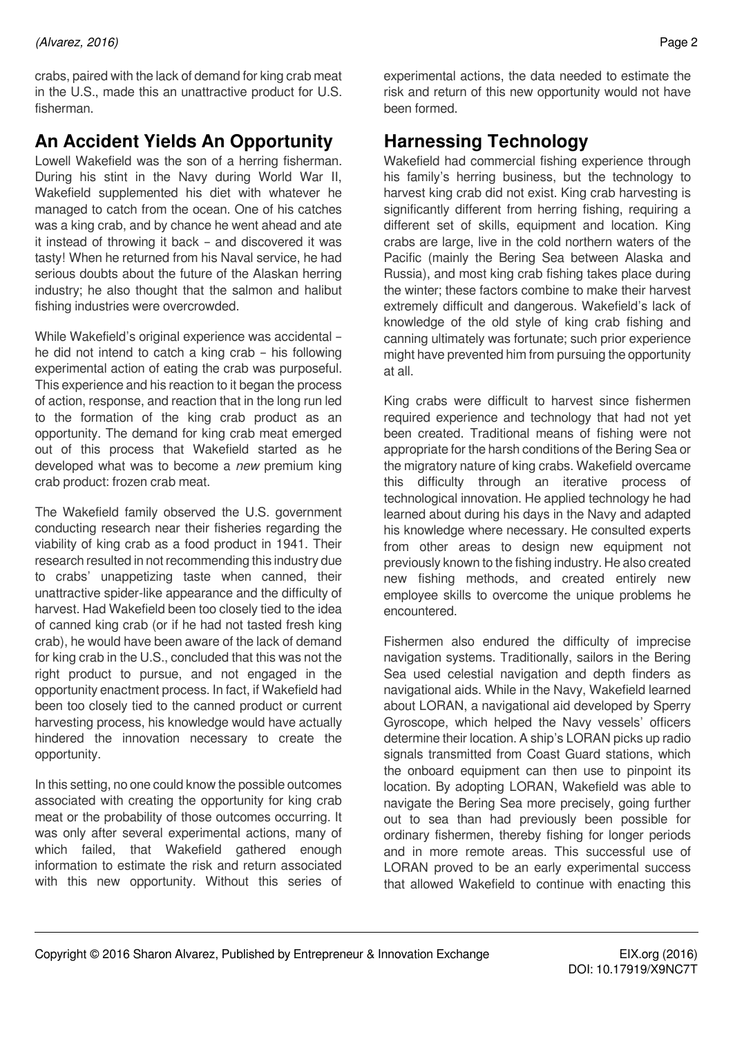crabs, paired with the lack of demand for king crab meat in the U.S., made this an unattractive product for U.S. fisherman.

### **An Accident Yields An Opportunity**

Lowell Wakefield was the son of a herring fisherman. During his stint in the Navy during World War II, Wakefield supplemented his diet with whatever he managed to catch from the ocean. One of his catches was a king crab, and by chance he went ahead and ate it instead of throwing it back – and discovered it was tasty! When he returned from his Naval service, he had serious doubts about the future of the Alaskan herring industry; he also thought that the salmon and halibut fishing industries were overcrowded.

While Wakefield's original experience was accidental – he did not intend to catch a king crab – his following experimental action of eating the crab was purposeful. This experience and his reaction to it began the process of action, response, and reaction that in the long run led to the formation of the king crab product as an opportunity. The demand for king crab meat emerged out of this process that Wakefield started as he developed what was to become a *new* premium king crab product: frozen crab meat.

The Wakefield family observed the U.S. government conducting research near their fisheries regarding the viability of king crab as a food product in 1941. Their research resulted in not recommending this industry due to crabs' unappetizing taste when canned, their unattractive spider-like appearance and the difficulty of harvest. Had Wakefield been too closely tied to the idea of canned king crab (or if he had not tasted fresh king crab), he would have been aware of the lack of demand for king crab in the U.S., concluded that this was not the right product to pursue, and not engaged in the opportunity enactment process. In fact, if Wakefield had been too closely tied to the canned product or current harvesting process, his knowledge would have actually hindered the innovation necessary to create the opportunity.

In this setting, no one could know the possible outcomes associated with creating the opportunity for king crab meat or the probability of those outcomes occurring. It was only after several experimental actions, many of which failed, that Wakefield gathered enough information to estimate the risk and return associated with this new opportunity. Without this series of experimental actions, the data needed to estimate the risk and return of this new opportunity would not have been formed.

### **Harnessing Technology**

Wakefield had commercial fishing experience through his family's herring business, but the technology to harvest king crab did not exist. King crab harvesting is significantly different from herring fishing, requiring a different set of skills, equipment and location. King crabs are large, live in the cold northern waters of the Pacific (mainly the Bering Sea between Alaska and Russia), and most king crab fishing takes place during the winter; these factors combine to make their harvest extremely difficult and dangerous. Wakefield's lack of knowledge of the old style of king crab fishing and canning ultimately was fortunate; such prior experience might have prevented him from pursuing the opportunity at all.

King crabs were difficult to harvest since fishermen required experience and technology that had not yet been created. Traditional means of fishing were not appropriate for the harsh conditions of the Bering Sea or the migratory nature of king crabs. Wakefield overcame this difficulty through an iterative process of technological innovation. He applied technology he had learned about during his days in the Navy and adapted his knowledge where necessary. He consulted experts from other areas to design new equipment not previously known to the fishing industry. He also created new fishing methods, and created entirely new employee skills to overcome the unique problems he encountered.

Fishermen also endured the difficulty of imprecise navigation systems. Traditionally, sailors in the Bering Sea used celestial navigation and depth finders as navigational aids. While in the Navy, Wakefield learned about LORAN, a navigational aid developed by Sperry Gyroscope, which helped the Navy vessels' officers determine their location. A ship's LORAN picks up radio signals transmitted from Coast Guard stations, which the onboard equipment can then use to pinpoint its location. By adopting LORAN, Wakefield was able to navigate the Bering Sea more precisely, going further out to sea than had previously been possible for ordinary fishermen, thereby fishing for longer periods and in more remote areas. This successful use of LORAN proved to be an early experimental success that allowed Wakefield to continue with enacting this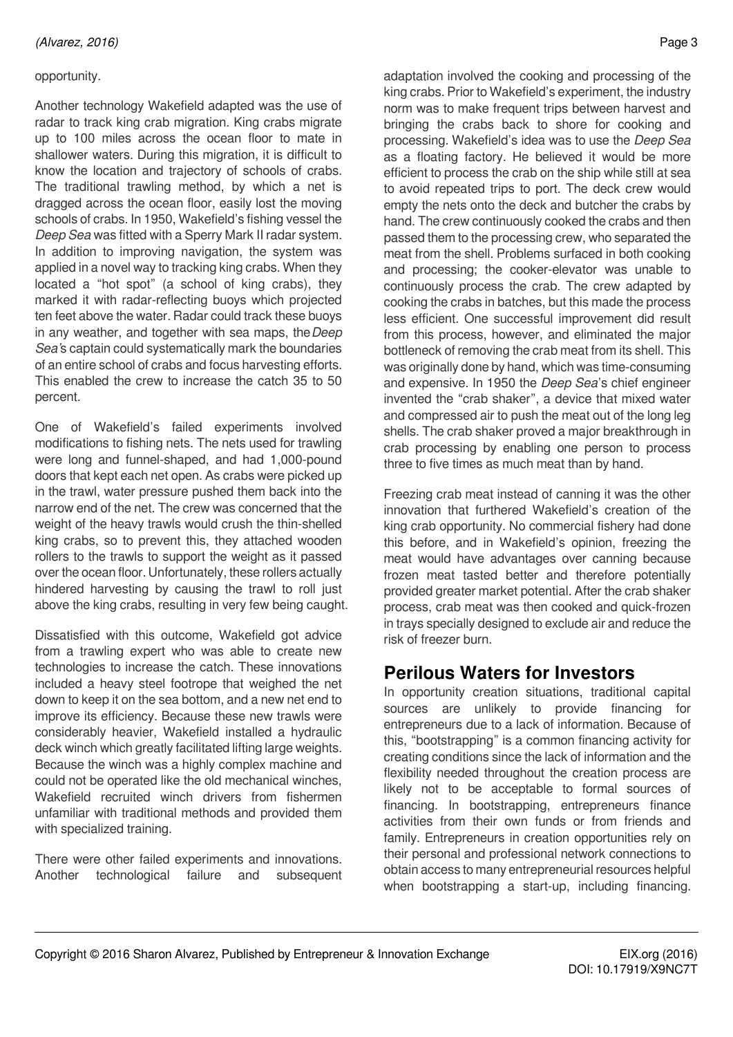#### opportunity.

Another technology Wakefield adapted was the use of radar to track king crab migration. King crabs migrate up to 100 miles across the ocean floor to mate in shallower waters. During this migration, it is difficult to know the location and trajectory of schools of crabs. The traditional trawling method, by which a net is dragged across the ocean floor, easily lost the moving schools of crabs. In 1950, Wakefield's fishing vessel the *Deep Sea* was fitted with a Sperry Mark II radar system. In addition to improving navigation, the system was applied in a novel way to tracking king crabs. When they located a "hot spot" (a school of king crabs), they marked it with radar-reflecting buoys which projected ten feet above the water. Radar could track these buoys in any weather, and together with sea maps, the*Deep Sea'*s captain could systematically mark the boundaries of an entire school of crabs and focus harvesting efforts. This enabled the crew to increase the catch 35 to 50 percent.

One of Wakefield's failed experiments involved modifications to fishing nets. The nets used for trawling were long and funnel-shaped, and had 1,000-pound doors that kept each net open. As crabs were picked up in the trawl, water pressure pushed them back into the narrow end of the net. The crew was concerned that the weight of the heavy trawls would crush the thin-shelled king crabs, so to prevent this, they attached wooden rollers to the trawls to support the weight as it passed over the ocean floor. Unfortunately, these rollers actually hindered harvesting by causing the trawl to roll just above the king crabs, resulting in very few being caught.

Dissatisfied with this outcome, Wakefield got advice from a trawling expert who was able to create new technologies to increase the catch. These innovations included a heavy steel footrope that weighed the net down to keep it on the sea bottom, and a new net end to improve its efficiency. Because these new trawls were considerably heavier, Wakefield installed a hydraulic deck winch which greatly facilitated lifting large weights. Because the winch was a highly complex machine and could not be operated like the old mechanical winches, Wakefield recruited winch drivers from fishermen unfamiliar with traditional methods and provided them with specialized training.

There were other failed experiments and innovations. Another technological failure and subsequent adaptation involved the cooking and processing of the king crabs. Prior to Wakefield's experiment, the industry norm was to make frequent trips between harvest and bringing the crabs back to shore for cooking and processing. Wakefield's idea was to use the *Deep Sea* as a floating factory. He believed it would be more efficient to process the crab on the ship while still at sea to avoid repeated trips to port. The deck crew would empty the nets onto the deck and butcher the crabs by hand. The crew continuously cooked the crabs and then passed them to the processing crew, who separated the meat from the shell. Problems surfaced in both cooking and processing; the cooker-elevator was unable to continuously process the crab. The crew adapted by cooking the crabs in batches, but this made the process less efficient. One successful improvement did result from this process, however, and eliminated the major bottleneck of removing the crab meat from its shell. This was originally done by hand, which was time-consuming and expensive. In 1950 the *Deep Sea*'s chief engineer invented the "crab shaker", a device that mixed water and compressed air to push the meat out of the long leg shells. The crab shaker proved a major breakthrough in crab processing by enabling one person to process three to five times as much meat than by hand.

Freezing crab meat instead of canning it was the other innovation that furthered Wakefield's creation of the king crab opportunity. No commercial fishery had done this before, and in Wakefield's opinion, freezing the meat would have advantages over canning because frozen meat tasted better and therefore potentially provided greater market potential. After the crab shaker process, crab meat was then cooked and quick-frozen in trays specially designed to exclude air and reduce the risk of freezer burn.

#### **Perilous Waters for Investors**

In opportunity creation situations, traditional capital sources are unlikely to provide financing for entrepreneurs due to a lack of information. Because of this, "bootstrapping" is a common financing activity for creating conditions since the lack of information and the flexibility needed throughout the creation process are likely not to be acceptable to formal sources of financing. In bootstrapping, entrepreneurs finance activities from their own funds or from friends and family. Entrepreneurs in creation opportunities rely on their personal and professional network connections to obtain access to many entrepreneurial resources helpful when bootstrapping a start-up, including financing.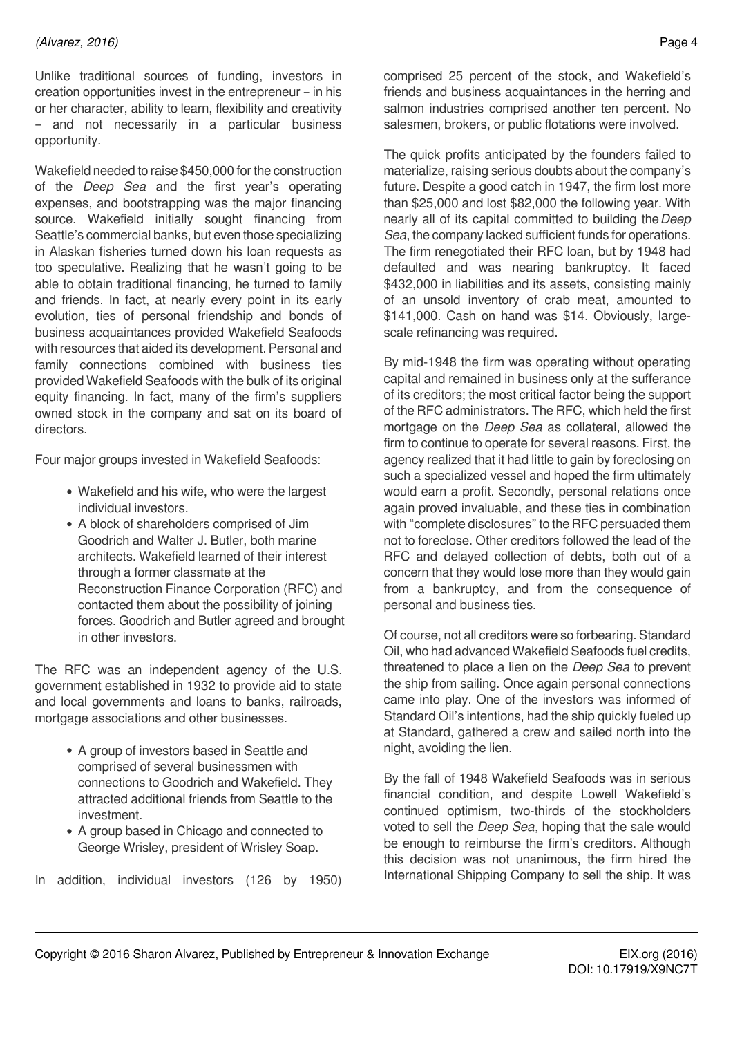Unlike traditional sources of funding, investors in creation opportunities invest in the entrepreneur – in his or her character, ability to learn, flexibility and creativity – and not necessarily in a particular business opportunity.

Wakefield needed to raise \$450,000 for the construction of the *Deep Sea* and the first year's operating expenses, and bootstrapping was the major financing source. Wakefield initially sought financing from Seattle's commercial banks, but even those specializing in Alaskan fisheries turned down his loan requests as too speculative. Realizing that he wasn't going to be able to obtain traditional financing, he turned to family and friends. In fact, at nearly every point in its early evolution, ties of personal friendship and bonds of business acquaintances provided Wakefield Seafoods with resources that aided its development. Personal and family connections combined with business ties provided Wakefield Seafoods with the bulk of its original equity financing. In fact, many of the firm's suppliers owned stock in the company and sat on its board of directors.

Four major groups invested in Wakefield Seafoods:

- Wakefield and his wife, who were the largest individual investors.
- A block of shareholders comprised of Jim Goodrich and Walter J. Butler, both marine architects. Wakefield learned of their interest through a former classmate at the Reconstruction Finance Corporation (RFC) and contacted them about the possibility of joining forces. Goodrich and Butler agreed and brought in other investors.

The RFC was an independent agency of the U.S. government established in 1932 to provide aid to state and local governments and loans to banks, railroads, mortgage associations and other businesses.

- A group of investors based in Seattle and comprised of several businessmen with connections to Goodrich and Wakefield. They attracted additional friends from Seattle to the investment.
- A group based in Chicago and connected to George Wrisley, president of Wrisley Soap.

In addition, individual investors (126 by 1950)

comprised 25 percent of the stock, and Wakefield's friends and business acquaintances in the herring and salmon industries comprised another ten percent. No salesmen, brokers, or public flotations were involved.

The quick profits anticipated by the founders failed to materialize, raising serious doubts about the company's future. Despite a good catch in 1947, the firm lost more than \$25,000 and lost \$82,000 the following year. With nearly all of its capital committed to building the*Deep Sea*, the company lacked sufficient funds for operations. The firm renegotiated their RFC loan, but by 1948 had defaulted and was nearing bankruptcy. It faced \$432,000 in liabilities and its assets, consisting mainly of an unsold inventory of crab meat, amounted to \$141,000. Cash on hand was \$14. Obviously, largescale refinancing was required.

By mid-1948 the firm was operating without operating capital and remained in business only at the sufferance of its creditors; the most critical factor being the support of the RFC administrators. The RFC, which held the first mortgage on the *Deep Sea* as collateral, allowed the firm to continue to operate for several reasons. First, the agency realized that it had little to gain by foreclosing on such a specialized vessel and hoped the firm ultimately would earn a profit. Secondly, personal relations once again proved invaluable, and these ties in combination with "complete disclosures" to the RFC persuaded them not to foreclose. Other creditors followed the lead of the RFC and delayed collection of debts, both out of a concern that they would lose more than they would gain from a bankruptcy, and from the consequence of personal and business ties.

Of course, not all creditors were so forbearing. Standard Oil, who had advanced Wakefield Seafoods fuel credits, threatened to place a lien on the *Deep Sea* to prevent the ship from sailing. Once again personal connections came into play. One of the investors was informed of Standard Oil's intentions, had the ship quickly fueled up at Standard, gathered a crew and sailed north into the night, avoiding the lien.

By the fall of 1948 Wakefield Seafoods was in serious financial condition, and despite Lowell Wakefield's continued optimism, two-thirds of the stockholders voted to sell the *Deep Sea*, hoping that the sale would be enough to reimburse the firm's creditors. Although this decision was not unanimous, the firm hired the International Shipping Company to sell the ship. It was

DOI: 10.17919/X9NC7T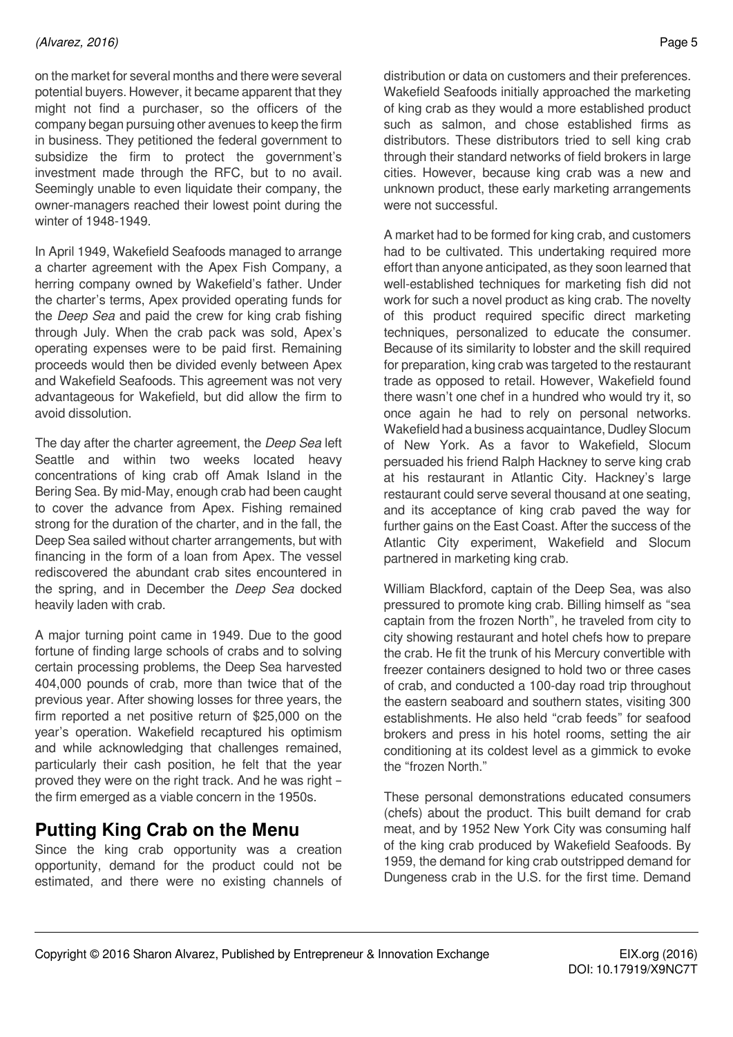on the market for several months and there were several potential buyers. However, it became apparent that they might not find a purchaser, so the officers of the company began pursuing other avenues to keep the firm in business. They petitioned the federal government to subsidize the firm to protect the government's investment made through the RFC, but to no avail. Seemingly unable to even liquidate their company, the owner-managers reached their lowest point during the winter of 1948-1949.

In April 1949, Wakefield Seafoods managed to arrange a charter agreement with the Apex Fish Company, a herring company owned by Wakefield's father. Under the charter's terms, Apex provided operating funds for the *Deep Sea* and paid the crew for king crab fishing through July. When the crab pack was sold, Apex's operating expenses were to be paid first. Remaining proceeds would then be divided evenly between Apex and Wakefield Seafoods. This agreement was not very advantageous for Wakefield, but did allow the firm to avoid dissolution.

The day after the charter agreement, the *Deep Sea* left Seattle and within two weeks located heavy concentrations of king crab off Amak Island in the Bering Sea. By mid-May, enough crab had been caught to cover the advance from Apex. Fishing remained strong for the duration of the charter, and in the fall, the Deep Sea sailed without charter arrangements, but with financing in the form of a loan from Apex. The vessel rediscovered the abundant crab sites encountered in the spring, and in December the *Deep Sea* docked heavily laden with crab.

A major turning point came in 1949. Due to the good fortune of finding large schools of crabs and to solving certain processing problems, the Deep Sea harvested 404,000 pounds of crab, more than twice that of the previous year. After showing losses for three years, the firm reported a net positive return of \$25,000 on the year's operation. Wakefield recaptured his optimism and while acknowledging that challenges remained, particularly their cash position, he felt that the year proved they were on the right track. And he was right – the firm emerged as a viable concern in the 1950s.

#### **Putting King Crab on the Menu**

Since the king crab opportunity was a creation opportunity, demand for the product could not be estimated, and there were no existing channels of distribution or data on customers and their preferences. Wakefield Seafoods initially approached the marketing of king crab as they would a more established product such as salmon, and chose established firms as distributors. These distributors tried to sell king crab through their standard networks of field brokers in large cities. However, because king crab was a new and unknown product, these early marketing arrangements were not successful.

A market had to be formed for king crab, and customers had to be cultivated. This undertaking required more effort than anyone anticipated, as they soon learned that well-established techniques for marketing fish did not work for such a novel product as king crab. The novelty of this product required specific direct marketing techniques, personalized to educate the consumer. Because of its similarity to lobster and the skill required for preparation, king crab was targeted to the restaurant trade as opposed to retail. However, Wakefield found there wasn't one chef in a hundred who would try it, so once again he had to rely on personal networks. Wakefield had a business acquaintance, Dudley Slocum of New York. As a favor to Wakefield, Slocum persuaded his friend Ralph Hackney to serve king crab at his restaurant in Atlantic City. Hackney's large restaurant could serve several thousand at one seating, and its acceptance of king crab paved the way for further gains on the East Coast. After the success of the Atlantic City experiment, Wakefield and Slocum partnered in marketing king crab.

William Blackford, captain of the Deep Sea, was also pressured to promote king crab. Billing himself as "sea captain from the frozen North", he traveled from city to city showing restaurant and hotel chefs how to prepare the crab. He fit the trunk of his Mercury convertible with freezer containers designed to hold two or three cases of crab, and conducted a 100-day road trip throughout the eastern seaboard and southern states, visiting 300 establishments. He also held "crab feeds" for seafood brokers and press in his hotel rooms, setting the air conditioning at its coldest level as a gimmick to evoke the "frozen North."

These personal demonstrations educated consumers (chefs) about the product. This built demand for crab meat, and by 1952 New York City was consuming half of the king crab produced by Wakefield Seafoods. By 1959, the demand for king crab outstripped demand for Dungeness crab in the U.S. for the first time. Demand